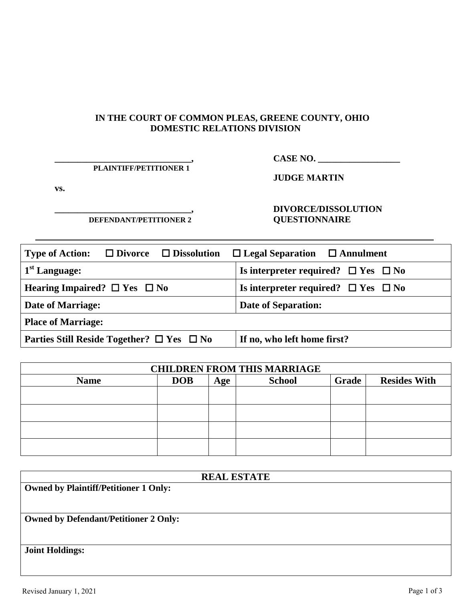#### **IN THE COURT OF COMMON PLEAS, GREENE COUNTY, OHIO DOMESTIC RELATIONS DIVISION**

# **\_\_\_\_\_\_\_\_\_\_\_\_\_\_\_\_\_\_\_\_\_\_\_\_\_\_\_\_\_\_,**

## **CASE NO. \_\_\_\_\_\_\_\_\_\_\_\_\_\_\_\_\_\_**

**PLAINTIFF/PETITIONER 1** 

**vs.** 

**JUDGE MARTIN**

**\_\_\_\_\_\_\_\_\_\_\_\_\_\_\_\_\_\_\_\_\_\_\_\_\_\_\_\_\_\_, DEFENDANT/PETITIONER 2**

### **DIVORCE/DISSOLUTION QUESTIONNAIRE**

| <b>Type of Action:</b><br>$\Box$ Divorce $\Box$ Dissolution | $\Box$ Legal Separation $\Box$ Annulment      |  |  |  |  |
|-------------------------------------------------------------|-----------------------------------------------|--|--|--|--|
| $1st$ Language:                                             | Is interpreter required? $\Box$ Yes $\Box$ No |  |  |  |  |
| Hearing Impaired? $\Box$ Yes $\Box$ No                      | Is interpreter required? $\Box$ Yes $\Box$ No |  |  |  |  |
| <b>Date of Marriage:</b>                                    | <b>Date of Separation:</b>                    |  |  |  |  |
| <b>Place of Marriage:</b>                                   |                                               |  |  |  |  |
| Parties Still Reside Together? $\Box$ Yes $\Box$ No         | If no, who left home first?                   |  |  |  |  |

| <b>CHILDREN FROM THIS MARRIAGE</b> |            |     |               |       |                     |
|------------------------------------|------------|-----|---------------|-------|---------------------|
| <b>Name</b>                        | <b>DOB</b> | Age | <b>School</b> | Grade | <b>Resides With</b> |
|                                    |            |     |               |       |                     |
|                                    |            |     |               |       |                     |
|                                    |            |     |               |       |                     |
|                                    |            |     |               |       |                     |

| <b>REAL ESTATE</b>                           |  |  |  |  |  |
|----------------------------------------------|--|--|--|--|--|
| <b>Owned by Plaintiff/Petitioner 1 Only:</b> |  |  |  |  |  |
|                                              |  |  |  |  |  |
|                                              |  |  |  |  |  |
| <b>Owned by Defendant/Petitioner 2 Only:</b> |  |  |  |  |  |
|                                              |  |  |  |  |  |
|                                              |  |  |  |  |  |
| <b>Joint Holdings:</b>                       |  |  |  |  |  |
|                                              |  |  |  |  |  |
|                                              |  |  |  |  |  |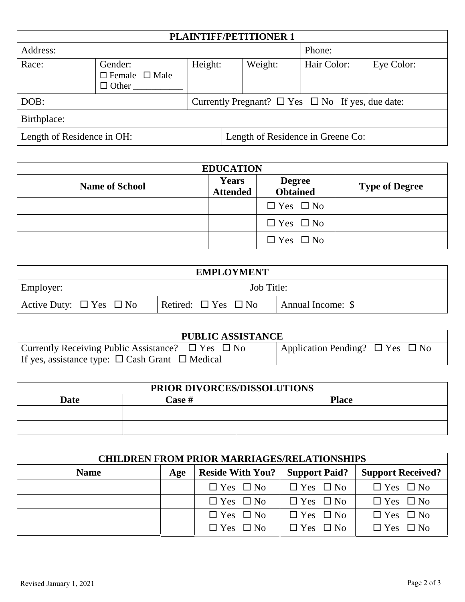| <b>PLAINTIFF/PETITIONER 1</b> |                                                      |         |  |                                   |                                                            |            |
|-------------------------------|------------------------------------------------------|---------|--|-----------------------------------|------------------------------------------------------------|------------|
| Address:                      |                                                      |         |  |                                   | Phone:                                                     |            |
| Race:                         | Gender:<br>$\Box$ Female $\Box$ Male<br>$\Box$ Other | Height: |  | Weight:                           | Hair Color:                                                | Eye Color: |
| DOB:                          |                                                      |         |  |                                   | Currently Pregnant? $\Box$ Yes $\Box$ No If yes, due date: |            |
| Birthplace:                   |                                                      |         |  |                                   |                                                            |            |
| Length of Residence in OH:    |                                                      |         |  | Length of Residence in Greene Co: |                                                            |            |

| <b>EDUCATION</b>      |                                 |                                  |                       |  |
|-----------------------|---------------------------------|----------------------------------|-----------------------|--|
| <b>Name of School</b> | <b>Years</b><br><b>Attended</b> | <b>Degree</b><br><b>Obtained</b> | <b>Type of Degree</b> |  |
|                       |                                 | $\Box$ Yes $\Box$ No             |                       |  |
|                       |                                 | $\Box$ Yes $\Box$ No             |                       |  |
|                       |                                 | $\Box$ Yes $\Box$ No             |                       |  |

| <b>EMPLOYMENT</b>                                                        |  |  |                   |  |
|--------------------------------------------------------------------------|--|--|-------------------|--|
| <b>Job Title:</b><br>Employer:                                           |  |  |                   |  |
| Retired: $\Box$ Yes $\Box$ No<br>Active Duty: $\square$ Yes $\square$ No |  |  | Annual Income: \$ |  |

| <b>PUBLIC ASSISTANCE</b>                                    |                                           |  |  |
|-------------------------------------------------------------|-------------------------------------------|--|--|
| Currently Receiving Public Assistance? $\Box$ Yes $\Box$ No | Application Pending? $\Box$ Yes $\Box$ No |  |  |
| If yes, assistance type: $\Box$ Cash Grant $\Box$ Medical   |                                           |  |  |

| PRIOR DIVORCES/DISSOLUTIONS                                                    |  |  |  |  |  |
|--------------------------------------------------------------------------------|--|--|--|--|--|
| $\textcolor{black}{\mathbb{C} \text{ase}\; \#}$<br><b>Place</b><br><b>Date</b> |  |  |  |  |  |
|                                                                                |  |  |  |  |  |
|                                                                                |  |  |  |  |  |

| <b>CHILDREN FROM PRIOR MARRIAGES/RELATIONSHIPS</b> |     |                         |                      |                          |  |  |
|----------------------------------------------------|-----|-------------------------|----------------------|--------------------------|--|--|
| <b>Name</b>                                        | Age | <b>Reside With You?</b> | <b>Support Paid?</b> | <b>Support Received?</b> |  |  |
|                                                    |     | $\Box$ Yes $\Box$ No    | $\Box$ Yes $\Box$ No | $\Box$ Yes $\Box$ No     |  |  |
|                                                    |     | $\Box$ Yes $\Box$ No    | $\Box$ Yes $\Box$ No | $\Box$ Yes $\Box$ No     |  |  |
|                                                    |     | $\Box$ Yes $\Box$ No    | $\Box$ Yes $\Box$ No | $\Box$ Yes $\Box$ No     |  |  |
|                                                    |     | $\Box$ Yes $\Box$ No    | $\Box$ Yes $\Box$ No | $\Box$ Yes $\Box$ No     |  |  |